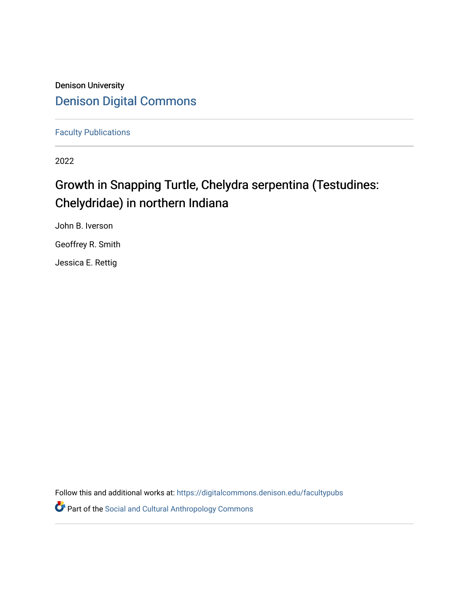## Denison University [Denison Digital Commons](https://digitalcommons.denison.edu/)

[Faculty Publications](https://digitalcommons.denison.edu/facultypubs)

2022

## Growth in Snapping Turtle, Chelydra serpentina (Testudines: Chelydridae) in northern Indiana

John B. Iverson

Geoffrey R. Smith

Jessica E. Rettig

Follow this and additional works at: [https://digitalcommons.denison.edu/facultypubs](https://digitalcommons.denison.edu/facultypubs?utm_source=digitalcommons.denison.edu%2Ffacultypubs%2F925&utm_medium=PDF&utm_campaign=PDFCoverPages)

Part of the [Social and Cultural Anthropology Commons](http://network.bepress.com/hgg/discipline/323?utm_source=digitalcommons.denison.edu%2Ffacultypubs%2F925&utm_medium=PDF&utm_campaign=PDFCoverPages)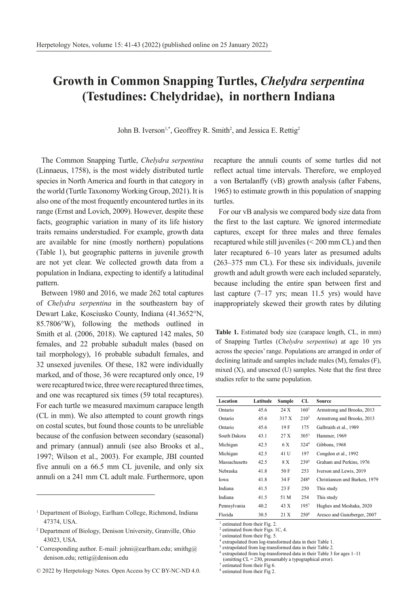## **Growth in Common Snapping Turtles,** *Chelydra serpentina*  **(Testudines: Chelydridae), in northern Indiana**

John B. Iverson<sup>1,\*</sup>, Geoffrey R. Smith<sup>2</sup>, and Jessica E. Rettig<sup>2</sup>

The Common Snapping Turtle, *Chelydra serpentina* (Linnaeus, 1758), is the most widely distributed turtle species in North America and fourth in that category in the world (Turtle Taxonomy Working Group, 2021). It is also one of the most frequently encountered turtles in its range (Ernst and Lovich, 2009). However, despite these facts, geographic variation in many of its life history traits remains understudied. For example, growth data are available for nine (mostly northern) populations (Table 1), but geographic patterns in juvenile growth are not yet clear. We collected growth data from a population in Indiana, expecting to identify a latitudinal pattern.

Between 1980 and 2016, we made 262 total captures of *Chelydra serpentina* in the southeastern bay of Dewart Lake, Kosciusko County, Indiana (41.3652°N, 85.7806°W), following the methods outlined in Smith et al. (2006, 2018). We captured 142 males, 50 females, and 22 probable subadult males (based on tail morphology), 16 probable subadult females, and 32 unsexed juveniles. Of these, 182 were individually marked, and of those, 36 were recaptured only once, 19 were recaptured twice, three were recaptured three times, and one was recaptured six times (59 total recaptures). For each turtle we measured maximum carapace length (CL in mm). We also attempted to count growth rings on costal scutes, but found those counts to be unreliable because of the confusion between secondary (seasonal) and primary (annual) annuli (see also Brooks et al., 1997; Wilson et al., 2003). For example, JBI counted five annuli on a 66.5 mm CL juvenile, and only six annuli on a 241 mm CL adult male. Furthermore, upon

recapture the annuli counts of some turtles did not reflect actual time intervals. Therefore, we employed a von Bertalanffy (vB) growth analysis (after Fabens, 1965) to estimate growth in this population of snapping turtles.

For our vB analysis we compared body size data from the first to the last capture. We ignored intermediate captures, except for three males and three females recaptured while still juveniles (< 200 mm CL) and then later recaptured 6–10 years later as presumed adults (263–375 mm CL). For these six individuals, juvenile growth and adult growth were each included separately, because including the entire span between first and last capture (7–17 yrs; mean 11.5 yrs) would have inappropriately skewed their growth rates by diluting

mixed (X), and unsexed (U) samples. Note that the first three **Table 1.** Estimated body size (carapace length, CL, in mm) of Snapping Turtles (*Chelydra serpentina*) at age 10 yrs across the species' range. Populations are arranged in order of declining latitude and samples include males (M), females (F), studies refer to the same population.

| Location      | Latitude | Sample | CL               | Source                        |
|---------------|----------|--------|------------------|-------------------------------|
| Ontario       | 45.6     | 24 X   | 160 <sup>1</sup> | Armstrong and Brooks, 2013    |
| Ontario       | 45.6     | 317 X  | 210 <sup>2</sup> | Armstrong and Brooks, 2013    |
| Ontario       | 45.6     | 19 F   | 175              | Galbraith et al., 1989        |
| South Dakota  | 43.1     | 27 X   | $305^3$          | Hammer, 1969                  |
| Michigan      | 42.5     | 6 X    | 3244             | Gibbons, 1968                 |
| Michigan      | 42.5     | 41 U   | 197              | Congdon et al., 1992          |
| Massachusetts | 42.5     | 8 X    | $239^{5}$        | Graham and Perkins, 1976      |
| Nebraska      | 41.8     | 50 F   | 253              | Iverson and Lewis, 2019       |
| Iowa          | 41.8     | 34 F   | 248 <sup>6</sup> | Christiansen and Burken, 1979 |
| Indiana       | 41.5     | 23 F   | 250              | This study                    |
| Indiana       | 41.5     | 51 M   | 254              | This study                    |
| Pennsylvania  | 40.2     | 43 X   | 1957             | Hughes and Meshaka, 2020      |
| Florida       | 30.5     | 21 X   | 250 <sup>8</sup> | Aresco and Gunzberger, 2007   |

<sup>1</sup> estimated from their Fig. 2.

2 estimated from their Figs. 1C, 4. <sup>3</sup> estimated from their Fig. 5.

4 extrapolated from log-transformed data in their Table 1.

5 extrapolated from log-transformed data in their Table 2.

6 extrapolated from log-transformed data in their Table 3 for ages 1–11

(omitting CL = 230, presumably a typographical error).

estimated from their Fig 6.

8 estimated from their Fig 2.

<sup>1</sup> Department of Biology, Earlham College, Richmond, Indiana 47374, USA.

<sup>2</sup> Department of Biology, Denison University, Granville, Ohio 43023, USA.

<sup>\*</sup> Corresponding author. E-mail: johni@earlham.edu; smithg@ denison.edu; rettig@denison.edu

<sup>© 2022</sup> by Herpetology Notes. Open Access by CC BY-NC-ND 4.0.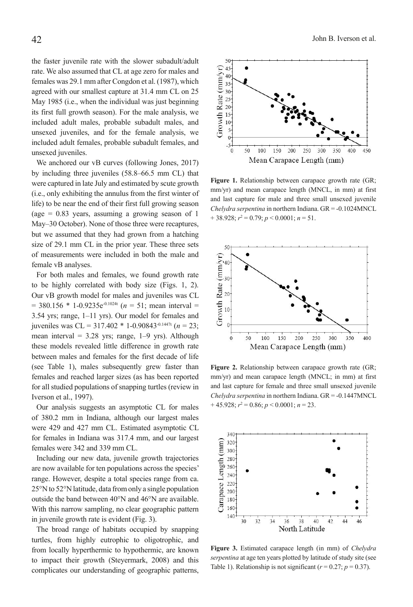the faster juvenile rate with the slower subadult/adult rate. We also assumed that CL at age zero for males and females was 29.1 mm after Congdon et al. (1987), which agreed with our smallest capture at 31.4 mm CL on 25 May 1985 (i.e., when the individual was just beginning its first full growth season). For the male analysis, we included adult males, probable subadult males, and unsexed juveniles, and for the female analysis, we included adult females, probable subadult females, and unsexed juveniles.

We anchored our vB curves (following Jones, 2017) by including three juveniles (58.8–66.5 mm CL) that were captured in late July and estimated by scute growth (i.e., only exhibiting the annulus from the first winter of life) to be near the end of their first full growing season (age  $= 0.83$  years, assuming a growing season of 1 May–30 October). None of those three were recaptures, but we assumed that they had grown from a hatching size of 29.1 mm CL in the prior year. These three sets of measurements were included in both the male and female vB analyses.

For both males and females, we found growth rate to be highly correlated with body size (Figs. 1, 2). Our vB growth model for males and juveniles was CL  $= 380.156 * 1 - 0.9235e^{-0.1024t}$  (*n* = 51; mean interval = 3.54 yrs; range, 1–11 yrs). Our model for females and juveniles was CL = 317.402 \* 1-0.90843-0.1447t (*n* = 23; mean interval = 3.28 yrs; range, 1–9 yrs). Although these models revealed little difference in growth rate between males and females for the first decade of life (see Table 1), males subsequently grew faster than females and reached larger sizes (as has been reported for all studied populations of snapping turtles (review in Iverson et al., 1997).

Our analysis suggests an asymptotic CL for males of 380.2 mm in Indiana, although our largest males were 429 and 427 mm CL. Estimated asymptotic CL for females in Indiana was 317.4 mm, and our largest females were 342 and 339 mm CL.

Including our new data, juvenile growth trajectories are now available for ten populations across the species' range. However, despite a total species range from ca. 25°N to 52°N latitude, data from only a single population outside the band between 40°N and 46°N are available. With this narrow sampling, no clear geographic pattern in juvenile growth rate is evident (Fig. 3).

The broad range of habitats occupied by snapping turtles, from highly eutrophic to oligotrophic, and from locally hyperthermic to hypothermic, are known to impact their growth (Steyermark, 2008) and this complicates our understanding of geographic patterns,



**Figure 1.** Relationship between carapace growth rate (GR; mm/yr) and mean carapace length (MNCL, in mm) at first and last capture for male and three small unsexed juvenile *Chelydra serpentina* in northern Indiana. GR = -0.1024MNCL  $+38.928; r^2 = 0.79; p < 0.0001; n = 51.$ 



**Figure 2.** Relationship between carapace growth rate (GR; mm/yr) and mean carapace length (MNCL; in mm) at first and last capture for female and three small unsexed juvenile *Chelydra serpentina* in northern Indiana. GR = -0.1447MNCL  $+45.928; r^2 = 0.86; p < 0.0001; n = 23.$ 



**Figure 3.** Estimated carapace length (in mm) of *Chelydra serpentina* at age ten years plotted by latitude of study site (see Table 1). Relationship is not significant ( $r = 0.27$ ;  $p = 0.37$ ).